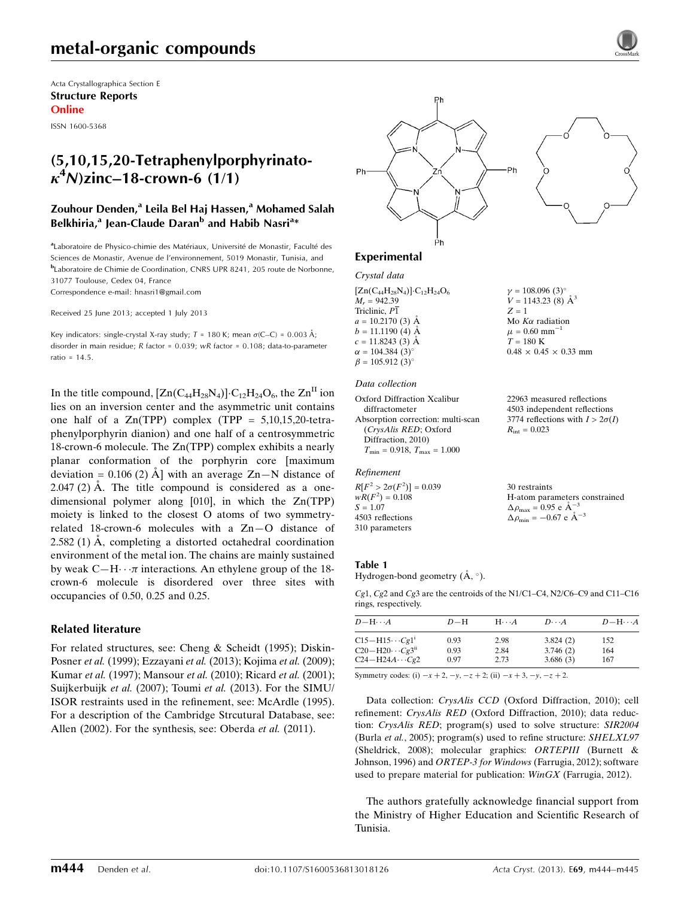Acta Crystallographica Section E Structure Reports Online

ISSN 1600-5368

# (5,10,15,20-Tetraphenylporphyrinato- $\kappa^4$ N)zinc–18-crown-6 (1/1)

### Zouhour Denden,<sup>a</sup> Leila Bel Haj Hassen,<sup>a</sup> Mohamed Salah Belkhiria,<sup>a</sup> Jean-Claude Daran<sup>b</sup> and Habib Nasri<sup>a</sup>\*

aLaboratoire de Physico-chimie des Matériaux, Université de Monastir, Faculté des Sciences de Monastir, Avenue de l'environnement, 5019 Monastir, Tunisia, and b Laboratoire de Chimie de Coordination, CNRS UPR 8241, 205 route de Norbonne, 31077 Toulouse, Cedex 04, France

Correspondence e-mail: [hnasri1@gmail.com](https://scripts.iucr.org/cgi-bin/cr.cgi?rm=pdfbb&cnor=hy2633&bbid=BB18)

Received 25 June 2013; accepted 1 July 2013

Key indicators: single-crystal X-ray study;  $T = 180$  K; mean  $\sigma$ (C–C) = 0.003 Å; disorder in main residue; R factor = 0.039; wR factor = 0.108; data-to-parameter ratio = 14.5.

In the title compound,  $[Zn(C_{44}H_{28}N_4)] \cdot C_{12}H_{24}O_6$ , the  $Zn^{II}$  ion lies on an inversion center and the asymmetric unit contains one half of a  $Zn(TPP)$  complex (TPP = 5,10,15,20-tetraphenylporphyrin dianion) and one half of a centrosymmetric 18-crown-6 molecule. The Zn(TPP) complex exhibits a nearly planar conformation of the porphyrin core [maximum deviation =  $0.106$  (2)  $\AA$  with an average Zn-N distance of  $2.047(2)$  Å. The title compound is considered as a onedimensional polymer along [010], in which the Zn(TPP) moiety is linked to the closest O atoms of two symmetryrelated 18-crown-6 molecules with a Zn—O distance of 2.582 (1)  $\AA$ , completing a distorted octahedral coordination environment of the metal ion. The chains are mainly sustained by weak  $C-H \cdot \cdot \pi$  interactions. An ethylene group of the 18crown-6 molecule is disordered over three sites with occupancies of 0.50, 0.25 and 0.25.

### Related literature

For related structures, see: Cheng & Scheidt (1995); Diskin-Posner et al. (1999); Ezzayani et al. (2013); Kojima et al. (2009); Kumar et al. (1997); Mansour et al. (2010); Ricard et al. (2001); Suijkerbuijk et al. (2007); Toumi et al. (2013). For the SIMU/ ISOR restraints used in the refinement, see: McArdle (1995). For a description of the Cambridge Strcutural Database, see: Allen (2002). For the synthesis, see: Oberda et al. (2011).



 $v = 108.096$  (3)<sup>o</sup>  $V = 1143.23$  (8)  $\AA^3$ 

Mo  $K\alpha$  radiation  $\mu$  = 0.60 mm<sup>-1</sup>  $T = 180$  K

 $R_{\text{int}} = 0.023$ 

30 restraints

 $\Delta \rho_{\text{max}} = 0.95 \text{ e A}^{-3}$  $\Delta \rho_{\text{min}} = -0.67 \text{ e A}^{-3}$ 

 $0.48 \times 0.45 \times 0.33$  mm

22963 measured reflections 4503 independent reflections 3774 reflections with  $I > 2\sigma(I)$ 

H-atom parameters constrained

 $Z = 1$ 

## Experimental

#### Crystal data

 $[Zn(C_{44}H_{28}N_4)]$ · $C_{12}H_{24}O_6$  $M<sub>r</sub> = 942.39$ Triclinic,  $P\overline{1}$  $a = 10.2170$  (3)  $\AA$  $b = 11.1190$  (4)  $\AA$  $c = 11.8243(3)$  Å  $\alpha = 104.384(3)$ °  $\beta = 105.912 \ (3)^{\circ}$ 

#### Data collection

Oxford Diffraction Xcalibur diffractometer Absorption correction: multi-scan (CrysAlis RED; Oxford Diffraction, 2010)  $T_{\text{min}} = 0.918, T_{\text{max}} = 1.000$ 

#### Refinement

 $R[F^2 > 2\sigma(F^2)] = 0.039$  $wR(F^2) = 0.108$  $S = 1.07$ 4503 reflections 310 parameters

Table 1 Hydrogen-bond geometry (Å, °).

Cg1, Cg2 and Cg3 are the centroids of the N1/C1–C4, N2/C6–C9 and C11–C16 rings, respectively.

| $D-H$ | $H\cdots A$ | $D\cdots A$ | $D - H \cdots A$ |
|-------|-------------|-------------|------------------|
| 0.93  | 2.98        | 3.824(2)    | 152              |
| 0.93  | 2.84        | 3.746(2)    | 164              |
| 0.97  | 2.73        | 3.686(3)    | 167              |
|       |             |             |                  |

Symmetry codes: (i)  $-x + 2$ ,  $-y$ ,  $-z + 2$ ; (ii)  $-x + 3$ ,  $-y$ ,  $-z + 2$ .

Data collection: CrysAlis CCD (Oxford Diffraction, 2010); cell refinement: CrysAlis RED (Oxford Diffraction, 2010); data reduction: CrysAlis RED; program(s) used to solve structure: SIR2004 (Burla et al., 2005); program(s) used to refine structure: SHELXL97 (Sheldrick, 2008); molecular graphics: ORTEPIII (Burnett & Johnson, 1996) and ORTEP-3 for Windows (Farrugia, 2012); software used to prepare material for publication: WinGX (Farrugia, 2012).

The authors gratefully acknowledge financial support from the Ministry of Higher Education and Scientific Research of Tunisia.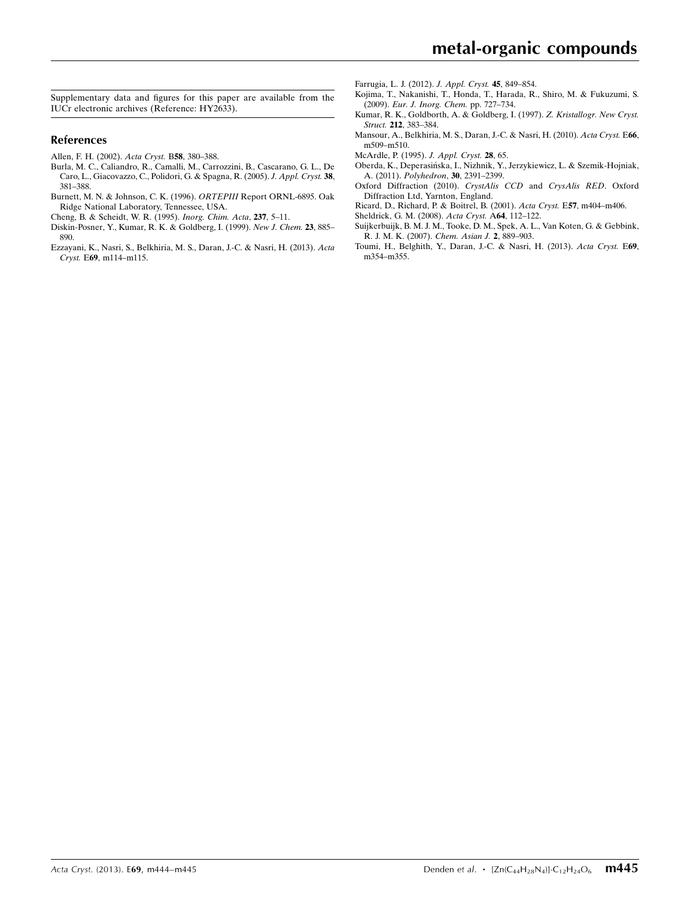Supplementary data and figures for this paper are available from the IUCr electronic archives (Reference: HY2633).

### References

- [Allen, F. H. \(2002\).](https://scripts.iucr.org/cgi-bin/cr.cgi?rm=pdfbb&cnor=hy2633&bbid=BB1) Acta Cryst. B58, 380–388.
- [Burla, M. C., Caliandro, R., Camalli, M., Carrozzini, B., Cascarano, G. L., De](https://scripts.iucr.org/cgi-bin/cr.cgi?rm=pdfbb&cnor=hy2633&bbid=BB2) [Caro, L., Giacovazzo, C., Polidori, G. & Spagna, R. \(2005\).](https://scripts.iucr.org/cgi-bin/cr.cgi?rm=pdfbb&cnor=hy2633&bbid=BB2) J. Appl. Cryst. 38, [381–388.](https://scripts.iucr.org/cgi-bin/cr.cgi?rm=pdfbb&cnor=hy2633&bbid=BB2)
- [Burnett, M. N. & Johnson, C. K. \(1996\).](https://scripts.iucr.org/cgi-bin/cr.cgi?rm=pdfbb&cnor=hy2633&bbid=BB3) ORTEPIII Report ORNL-6895. Oak [Ridge National Laboratory, Tennessee, USA.](https://scripts.iucr.org/cgi-bin/cr.cgi?rm=pdfbb&cnor=hy2633&bbid=BB3)
- [Cheng, B. & Scheidt, W. R. \(1995\).](https://scripts.iucr.org/cgi-bin/cr.cgi?rm=pdfbb&cnor=hy2633&bbid=BB4) Inorg. Chim. Acta, 237, 5–11.
- [Diskin-Posner, Y., Kumar, R. K. & Goldberg, I. \(1999\).](https://scripts.iucr.org/cgi-bin/cr.cgi?rm=pdfbb&cnor=hy2633&bbid=BB5) New J. Chem. 23, 885– [890.](https://scripts.iucr.org/cgi-bin/cr.cgi?rm=pdfbb&cnor=hy2633&bbid=BB5)
- [Ezzayani, K., Nasri, S., Belkhiria, M. S., Daran, J.-C. & Nasri, H. \(2013\).](https://scripts.iucr.org/cgi-bin/cr.cgi?rm=pdfbb&cnor=hy2633&bbid=BB6) Acta Cryst. E69[, m114–m115.](https://scripts.iucr.org/cgi-bin/cr.cgi?rm=pdfbb&cnor=hy2633&bbid=BB6)

[Farrugia, L. J. \(2012\).](https://scripts.iucr.org/cgi-bin/cr.cgi?rm=pdfbb&cnor=hy2633&bbid=BB7) J. Appl. Cryst. 45, 849–854.

- [Kojima, T., Nakanishi, T., Honda, T., Harada, R., Shiro, M. & Fukuzumi, S.](https://scripts.iucr.org/cgi-bin/cr.cgi?rm=pdfbb&cnor=hy2633&bbid=BB9) (2009). [Eur. J. Inorg. Chem.](https://scripts.iucr.org/cgi-bin/cr.cgi?rm=pdfbb&cnor=hy2633&bbid=BB9) pp. 727–734.
- [Kumar, R. K., Goldborth, A. & Goldberg, I. \(1997\).](https://scripts.iucr.org/cgi-bin/cr.cgi?rm=pdfbb&cnor=hy2633&bbid=BB10) Z. Kristallogr. New Cryst. Struct. 212[, 383–384.](https://scripts.iucr.org/cgi-bin/cr.cgi?rm=pdfbb&cnor=hy2633&bbid=BB10)
- [Mansour, A., Belkhiria, M. S., Daran, J.-C. & Nasri, H. \(2010\).](https://scripts.iucr.org/cgi-bin/cr.cgi?rm=pdfbb&cnor=hy2633&bbid=BB11) Acta Cryst. E66, [m509–m510.](https://scripts.iucr.org/cgi-bin/cr.cgi?rm=pdfbb&cnor=hy2633&bbid=BB11)
- [McArdle, P. \(1995\).](https://scripts.iucr.org/cgi-bin/cr.cgi?rm=pdfbb&cnor=hy2633&bbid=BB12) J. Appl. Cryst. 28, 65.
- [Oberda, K., Deperasin´ska, I., Nizhnik, Y., Jerzykiewicz, L. & Szemik-Hojniak,](https://scripts.iucr.org/cgi-bin/cr.cgi?rm=pdfbb&cnor=hy2633&bbid=BB13) A. (2011). Polyhedron, 30[, 2391–2399.](https://scripts.iucr.org/cgi-bin/cr.cgi?rm=pdfbb&cnor=hy2633&bbid=BB13)
- [Oxford Diffraction \(2010\).](https://scripts.iucr.org/cgi-bin/cr.cgi?rm=pdfbb&cnor=hy2633&bbid=BB14) CrystAlis CCD and CrysAlis RED. Oxford [Diffraction Ltd, Yarnton, England.](https://scripts.iucr.org/cgi-bin/cr.cgi?rm=pdfbb&cnor=hy2633&bbid=BB14)
- [Ricard, D., Richard, P. & Boitrel, B. \(2001\).](https://scripts.iucr.org/cgi-bin/cr.cgi?rm=pdfbb&cnor=hy2633&bbid=BB15) Acta Cryst. E57, m404–m406.
- [Sheldrick, G. M. \(2008\).](https://scripts.iucr.org/cgi-bin/cr.cgi?rm=pdfbb&cnor=hy2633&bbid=BB16) Acta Cryst. A64, 112–122.
- [Suijkerbuijk, B. M. J. M., Tooke, D. M., Spek, A. L., Van Koten, G. & Gebbink,](https://scripts.iucr.org/cgi-bin/cr.cgi?rm=pdfbb&cnor=hy2633&bbid=BB17) [R. J. M. K. \(2007\).](https://scripts.iucr.org/cgi-bin/cr.cgi?rm=pdfbb&cnor=hy2633&bbid=BB17) Chem. Asian J. 2, 889–903.
- [Toumi, H., Belghith, Y., Daran, J.-C. & Nasri, H. \(2013\).](https://scripts.iucr.org/cgi-bin/cr.cgi?rm=pdfbb&cnor=hy2633&bbid=BB18) Acta Cryst. E69, [m354–m355.](https://scripts.iucr.org/cgi-bin/cr.cgi?rm=pdfbb&cnor=hy2633&bbid=BB18)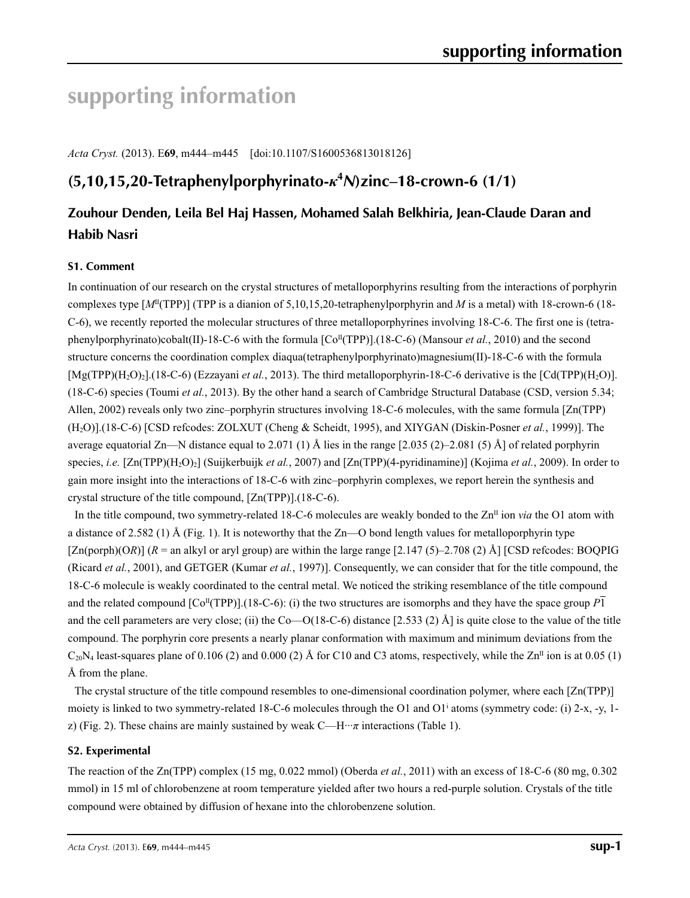# **supporting information**

*Acta Cryst.* (2013). E**69**, m444–m445 [doi:10.1107/S1600536813018126]

# **(5,10,15,20-Tetraphenylporphyrinato-***κ***<sup>4</sup>** *N***)zinc–18-crown-6 (1/1)**

# **Zouhour Denden, Leila Bel Haj Hassen, Mohamed Salah Belkhiria, Jean-Claude Daran and Habib Nasri**

## **S1. Comment**

In continuation of our research on the crystal structures of metalloporphyrins resulting from the interactions of porphyrin complexes type  $[M<sup>II</sup>(TPP)]$  (TPP is a dianion of 5,10,15,20-tetraphenylporphyrin and *M* is a metal) with 18-crown-6 (18-C-6), we recently reported the molecular structures of three metalloporphyrines involving 18-C-6. The first one is (tetraphenylporphyrinato)cobalt(II)-18-C-6 with the formula [Co<sup>II</sup>(TPP)].(18-C-6) (Mansour *et al.*, 2010) and the second structure concerns the coordination complex diaqua(tetraphenylporphyrinato)magnesium(II)-18-C-6 with the formula [Mg(TPP)(H<sub>2</sub>O)<sub>2</sub>].(18-C-6) (Ezzayani *et al.*, 2013). The third metalloporphyrin-18-C-6 derivative is the [Cd(TPP)(H<sub>2</sub>O)]. (18-C-6) species (Toumi *et al.*, 2013). By the other hand a search of Cambridge Structural Database (CSD, version 5.34; Allen, 2002) reveals only two zinc–porphyrin structures involving 18-C-6 molecules, with the same formula [Zn(TPP) (H2O)].(18-C-6) [CSD refcodes: ZOLXUT (Cheng & Scheidt, 1995), and XIYGAN (Diskin-Posner *et al.*, 1999)]. The average equatorial Zn—N distance equal to 2.071 (1) Å lies in the range  $[2.035 (2)-2.081 (5)$  Å] of related porphyrin species, *i.e.* [Zn(TPP)(H<sub>2</sub>O)<sub>2</sub>] (Suijkerbuijk *et al.*, 2007) and [Zn(TPP)(4-pyridinamine)] (Kojima *et al.*, 2009). In order to gain more insight into the interactions of 18-C-6 with zinc–porphyrin complexes, we report herein the synthesis and crystal structure of the title compound, [Zn(TPP)].(18-C-6).

In the title compound, two symmetry-related 18-C-6 molecules are weakly bonded to the  $\mathbb{Z}n^{II}$  ion *via* the O1 atom with a distance of 2.582 (1) Å (Fig. 1). It is noteworthy that the Zn—O bond length values for metalloporphyrin type  $[Zn(porph)(OR)]$  ( $R =$ an alkyl or aryl group) are within the large range [2.147 (5)–2.708 (2) Å] [CSD refcodes: BOQPIG (Ricard *et al.*, 2001), and GETGER (Kumar *et al.*, 1997)]. Consequently, we can consider that for the title compound, the 18-C-6 molecule is weakly coordinated to the central metal. We noticed the striking resemblance of the title compound and the related compound  $[Co<sup>T</sup>(TPP)]$ .(18-C-6): (i) the two structures are isomorphs and they have the space group *P*1 and the cell parameters are very close; (ii) the Co—O(18-C-6) distance [2.533 (2) Å] is quite close to the value of the title compound. The porphyrin core presents a nearly planar conformation with maximum and minimum deviations from the  $C_{20}N_4$  least-squares plane of 0.106 (2) and 0.000 (2) Å for C10 and C3 atoms, respectively, while the Zn<sup>II</sup> ion is at 0.05 (1) Å from the plane.

The crystal structure of the title compound resembles to one-dimensional coordination polymer, where each [Zn(TPP)] moiety is linked to two symmetry-related 18-C-6 molecules through the O1 and O1<sup>i</sup> atoms (symmetry code: (i) 2-x, -y, 1z) (Fig. 2). These chains are mainly sustained by weak  $C-H\cdots\pi$  interactions (Table 1).

### **S2. Experimental**

The reaction of the Zn(TPP) complex (15 mg, 0.022 mmol) (Oberda *et al.*, 2011) with an excess of 18-C-6 (80 mg, 0.302 mmol) in 15 ml of chlorobenzene at room temperature yielded after two hours a red-purple solution. Crystals of the title compound were obtained by diffusion of hexane into the chlorobenzene solution.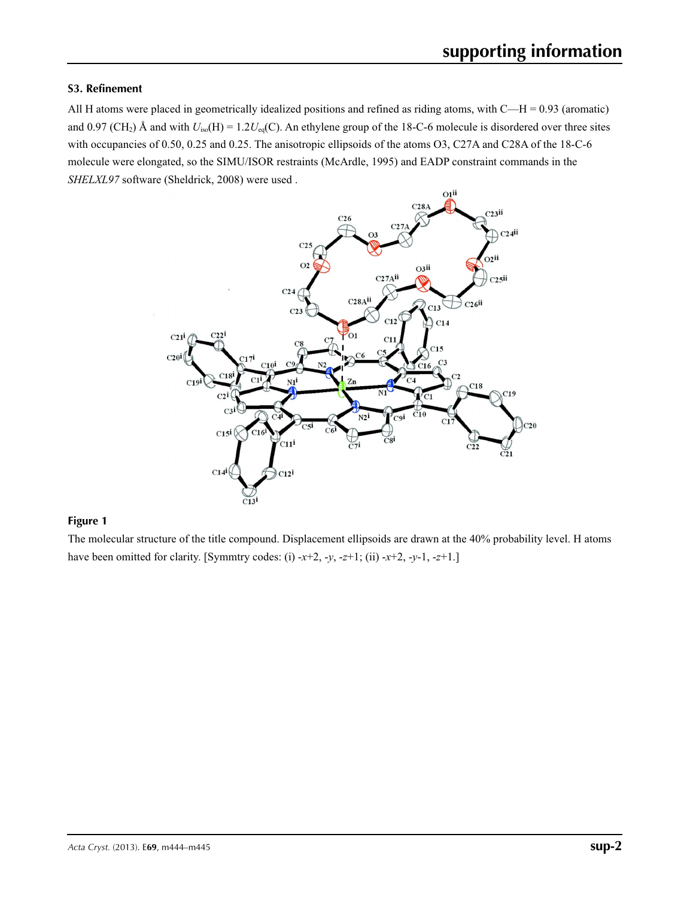### **S3. Refinement**

All H atoms were placed in geometrically idealized positions and refined as riding atoms, with  $C-H = 0.93$  (aromatic) and 0.97 (CH<sub>2</sub>) Å and with  $U_{iso}(H) = 1.2U_{eq}(C)$ . An ethylene group of the 18-C-6 molecule is disordered over three sites with occupancies of 0.50, 0.25 and 0.25. The anisotropic ellipsoids of the atoms O3, C27A and C28A of the 18-C-6 molecule were elongated, so the SIMU/ISOR restraints (McArdle, 1995) and EADP constraint commands in the *SHELXL97* software (Sheldrick, 2008) were used .



### **Figure 1**

The molecular structure of the title compound. Displacement ellipsoids are drawn at the 40% probability level. H atoms have been omitted for clarity. [Symmtry codes: (i) -*x*+2, -*y*, -*z*+1; (ii) -*x*+2, -*y*-1, -*z*+1.]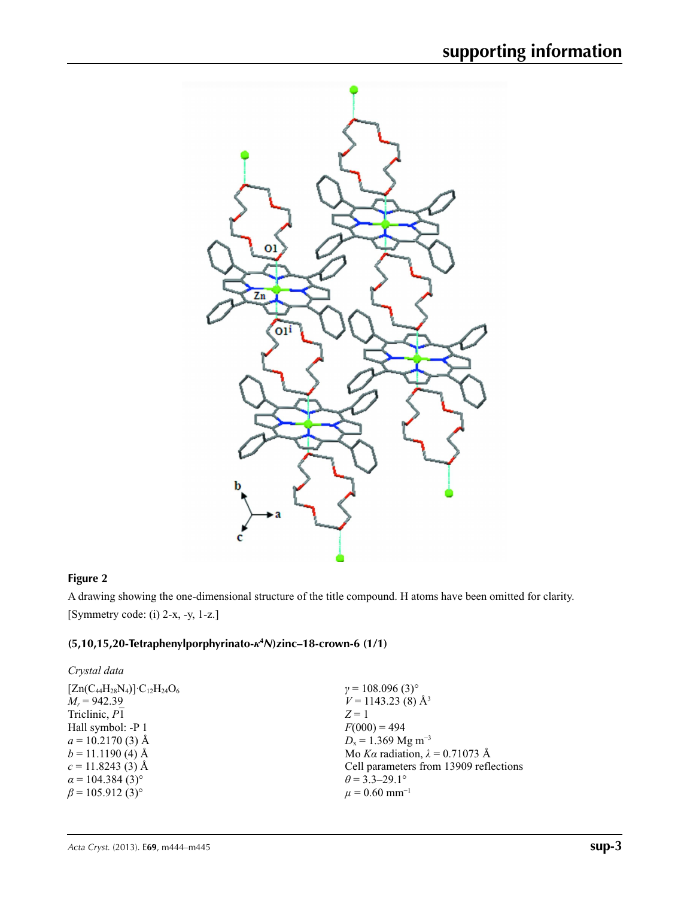

## **Figure 2**

A drawing showing the one-dimensional structure of the title compound. H atoms have been omitted for clarity. [Symmetry code: (i) 2-x, -y, 1-z.]

### **(5,10,15,20-Tetraphenylporphyrinato-***κ***<sup>4</sup>** *N***)zinc–18-crown-6 (1/1)**

| Crystal data                                |                                        |
|---------------------------------------------|----------------------------------------|
| $[Zn(C_{44}H_{28}N_4)]$ · $C_{12}H_{24}O_6$ | $\gamma = 108.096(3)^{\circ}$          |
| $M_r = 942.39$                              | $V = 1143.23$ (8) Å <sup>3</sup>       |
| Triclinic, P1                               | $Z=1$                                  |
| Hall symbol: -P 1                           | $F(000) = 494$                         |
| $a = 10.2170(3)$ Å                          | $D_x = 1.369$ Mg m <sup>-3</sup>       |
| $b = 11.1190$ (4) Å                         | Mo Ka radiation, $\lambda = 0.71073$ Å |
| $c = 11.8243(3)$ Å                          | Cell parameters from 13909 reflections |
| $\alpha$ = 104.384 (3) <sup>o</sup>         | $\theta$ = 3.3–29.1°                   |
| $\beta$ = 105.912 (3) <sup>o</sup>          | $\mu$ = 0.60 mm <sup>-1</sup>          |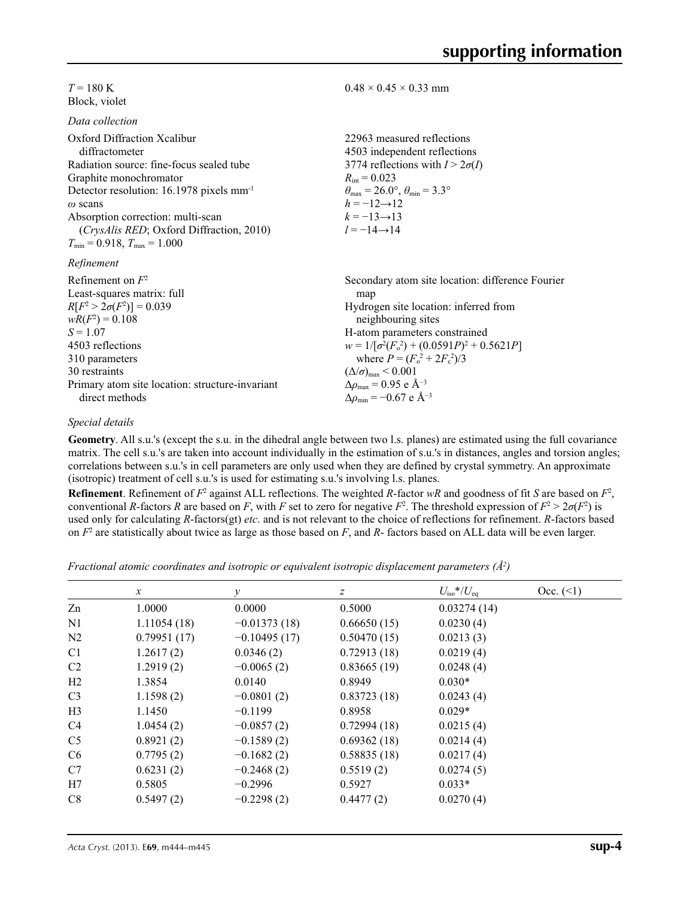$T = 180 \text{ K}$ Block, violet

*Data collection*

| Duiu concenon                                        |                                                                         |
|------------------------------------------------------|-------------------------------------------------------------------------|
| Oxford Diffraction Xcalibur<br>diffractometer        | 22963 measured reflections<br>4503 independent reflections              |
| Radiation source: fine-focus sealed tube             | 3774 reflections with $I > 2\sigma(I)$                                  |
| Graphite monochromator                               | $R_{\text{int}} = 0.023$                                                |
| Detector resolution: 16.1978 pixels mm <sup>-1</sup> | $\theta_{\text{max}} = 26.0^{\circ}, \theta_{\text{min}} = 3.3^{\circ}$ |
| $\omega$ scans                                       | $h = -12 \rightarrow 12$                                                |
| Absorption correction: multi-scan                    | $k = -13 \rightarrow 13$                                                |
| (CrysAlis RED; Oxford Diffraction, 2010)             | $l = -14 \rightarrow 14$                                                |
| $T_{\min}$ = 0.918, $T_{\max}$ = 1.000               |                                                                         |
| Refinement                                           |                                                                         |
| Refinement on $F^2$                                  | Secondary atom site location: difference Fourier                        |
| Least-squares matrix: full                           | map                                                                     |
| $R[F^2 > 2\sigma(F^2)] = 0.039$                      | Hydrogen site location: inferred from                                   |
| $wR(F^2) = 0.108$                                    | neighbouring sites                                                      |
| $S = 1.07$                                           | H-atom parameters constrained                                           |
| 4503 reflections                                     | $w = 1/[\sigma^2(F_0^2) + (0.0591P)^2 + 0.5621P]$                       |
| 310 parameters                                       | where $P = (F_o^2 + 2F_c^2)/3$                                          |
| 30 restraints                                        | $(\Delta/\sigma)_{\text{max}}$ < 0.001                                  |
| Primary atom site location: structure-invariant      | $\Delta\rho_{\text{max}}$ = 0.95 e Å <sup>-3</sup>                      |

 $0.48 \times 0.45 \times 0.33$  mm

### *Special details*

direct methods

**Geometry**. All s.u.'s (except the s.u. in the dihedral angle between two l.s. planes) are estimated using the full covariance matrix. The cell s.u.'s are taken into account individually in the estimation of s.u.'s in distances, angles and torsion angles; correlations between s.u.'s in cell parameters are only used when they are defined by crystal symmetry. An approximate (isotropic) treatment of cell s.u.'s is used for estimating s.u.'s involving l.s. planes.

Δ*ρ*min = −0.67 e Å−3

**Refinement**. Refinement of  $F^2$  against ALL reflections. The weighted  $R$ -factor  $wR$  and goodness of fit  $S$  are based on  $F^2$ , conventional *R*-factors *R* are based on *F*, with *F* set to zero for negative *F*<sup>2</sup>. The threshold expression of  $F^2 > 2\sigma(F^2)$  is used only for calculating *R*-factors(gt) *etc*. and is not relevant to the choice of reflections for refinement. *R*-factors based on *F*<sup>2</sup> are statistically about twice as large as those based on *F*, and *R*- factors based on ALL data will be even larger.

*Fractional atomic coordinates and isotropic or equivalent isotropic displacement parameters (Å<sup>2</sup>)* 

|                | $\mathcal{X}$ | v              | Ζ           | $U_{\rm iso}*/U_{\rm eq}$ | Occ. (2) |
|----------------|---------------|----------------|-------------|---------------------------|----------|
| Zn             | 1.0000        | 0.0000         | 0.5000      | 0.03274(14)               |          |
| N <sub>1</sub> | 1.11054(18)   | $-0.01373(18)$ | 0.66650(15) | 0.0230(4)                 |          |
| N <sub>2</sub> | 0.79951(17)   | $-0.10495(17)$ | 0.50470(15) | 0.0213(3)                 |          |
| C <sub>1</sub> | 1.2617(2)     | 0.0346(2)      | 0.72913(18) | 0.0219(4)                 |          |
| C <sub>2</sub> | 1.2919(2)     | $-0.0065(2)$   | 0.83665(19) | 0.0248(4)                 |          |
| H2             | 1.3854        | 0.0140         | 0.8949      | $0.030*$                  |          |
| C <sub>3</sub> | 1.1598(2)     | $-0.0801(2)$   | 0.83723(18) | 0.0243(4)                 |          |
| H <sub>3</sub> | 1.1450        | $-0.1199$      | 0.8958      | $0.029*$                  |          |
| C4             | 1.0454(2)     | $-0.0857(2)$   | 0.72994(18) | 0.0215(4)                 |          |
| C <sub>5</sub> | 0.8921(2)     | $-0.1589(2)$   | 0.69362(18) | 0.0214(4)                 |          |
| C <sub>6</sub> | 0.7795(2)     | $-0.1682(2)$   | 0.58835(18) | 0.0217(4)                 |          |
| C7             | 0.6231(2)     | $-0.2468(2)$   | 0.5519(2)   | 0.0274(5)                 |          |
| H7             | 0.5805        | $-0.2996$      | 0.5927      | $0.033*$                  |          |
| C8             | 0.5497(2)     | $-0.2298(2)$   | 0.4477(2)   | 0.0270(4)                 |          |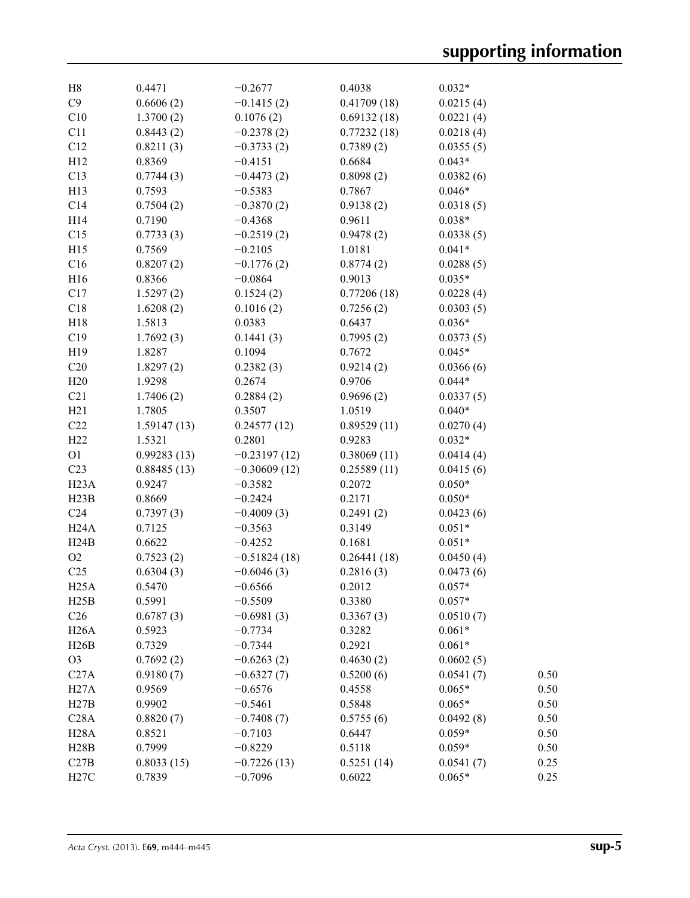| H8                | 0.4471      | $-0.2677$      | 0.4038      | $0.032*$  |      |
|-------------------|-------------|----------------|-------------|-----------|------|
| C9                | 0.6606(2)   | $-0.1415(2)$   | 0.41709(18) | 0.0215(4) |      |
| C10               | 1.3700(2)   | 0.1076(2)      | 0.69132(18) | 0.0221(4) |      |
| C11               | 0.8443(2)   | $-0.2378(2)$   | 0.77232(18) | 0.0218(4) |      |
| C12               | 0.8211(3)   | $-0.3733(2)$   | 0.7389(2)   | 0.0355(5) |      |
| H12               | 0.8369      | $-0.4151$      | 0.6684      | $0.043*$  |      |
| C13               | 0.7744(3)   | $-0.4473(2)$   | 0.8098(2)   | 0.0382(6) |      |
| H13               | 0.7593      | $-0.5383$      | 0.7867      | $0.046*$  |      |
| C14               | 0.7504(2)   | $-0.3870(2)$   | 0.9138(2)   | 0.0318(5) |      |
| H14               | 0.7190      | $-0.4368$      | 0.9611      | $0.038*$  |      |
| C15               | 0.7733(3)   | $-0.2519(2)$   | 0.9478(2)   | 0.0338(5) |      |
| H15               | 0.7569      | $-0.2105$      | 1.0181      | $0.041*$  |      |
| C16               | 0.8207(2)   | $-0.1776(2)$   | 0.8774(2)   | 0.0288(5) |      |
| H <sub>16</sub>   | 0.8366      | $-0.0864$      | 0.9013      | $0.035*$  |      |
| C17               | 1.5297(2)   | 0.1524(2)      | 0.77206(18) | 0.0228(4) |      |
| C18               | 1.6208(2)   | 0.1016(2)      | 0.7256(2)   | 0.0303(5) |      |
| H18               | 1.5813      | 0.0383         | 0.6437      | $0.036*$  |      |
| C19               | 1.7692(3)   | 0.1441(3)      | 0.7995(2)   | 0.0373(5) |      |
| H19               | 1.8287      | 0.1094         | 0.7672      | $0.045*$  |      |
| C20               | 1.8297(2)   | 0.2382(3)      | 0.9214(2)   | 0.0366(6) |      |
| H20               | 1.9298      | 0.2674         | 0.9706      | $0.044*$  |      |
| C21               | 1.7406(2)   | 0.2884(2)      | 0.9696(2)   | 0.0337(5) |      |
| H21               | 1.7805      | 0.3507         | 1.0519      | $0.040*$  |      |
| C22               | 1.59147(13) | 0.24577(12)    | 0.89529(11) | 0.0270(4) |      |
| H22               | 1.5321      | 0.2801         | 0.9283      | $0.032*$  |      |
| O <sub>1</sub>    | 0.99283(13) | $-0.23197(12)$ | 0.38069(11) | 0.0414(4) |      |
| C <sub>23</sub>   | 0.88485(13) | $-0.30609(12)$ | 0.25589(11) | 0.0415(6) |      |
| H23A              | 0.9247      | $-0.3582$      | 0.2072      | $0.050*$  |      |
| H23B              | 0.8669      | $-0.2424$      | 0.2171      | $0.050*$  |      |
| C <sub>24</sub>   | 0.7397(3)   | $-0.4009(3)$   | 0.2491(2)   | 0.0423(6) |      |
| H24A              | 0.7125      | $-0.3563$      | 0.3149      | $0.051*$  |      |
| H24B              | 0.6622      | $-0.4252$      | 0.1681      | $0.051*$  |      |
| O <sub>2</sub>    | 0.7523(2)   | $-0.51824(18)$ | 0.26441(18) | 0.0450(4) |      |
| C <sub>25</sub>   | 0.6304(3)   | $-0.6046(3)$   | 0.2816(3)   | 0.0473(6) |      |
| H25A              | 0.5470      | $-0.6566$      | 0.2012      | $0.057*$  |      |
| H25B              | 0.5991      | $-0.5509$      | 0.3380      | $0.057*$  |      |
| C <sub>26</sub>   | 0.6787(3)   | $-0.6981(3)$   | 0.3367(3)   | 0.0510(7) |      |
| H26A              | 0.5923      | $-0.7734$      | 0.3282      | $0.061*$  |      |
| H26B              | 0.7329      | $-0.7344$      | 0.2921      | $0.061*$  |      |
| O <sub>3</sub>    | 0.7692(2)   | $-0.6263(2)$   | 0.4630(2)   | 0.0602(5) |      |
| C27A              | 0.9180(7)   | $-0.6327(7)$   | 0.5200(6)   | 0.0541(7) | 0.50 |
| H27A              | 0.9569      | $-0.6576$      | 0.4558      | $0.065*$  | 0.50 |
| H27B              | 0.9902      | $-0.5461$      | 0.5848      | $0.065*$  | 0.50 |
| C28A              | 0.8820(7)   | $-0.7408(7)$   | 0.5755(6)   | 0.0492(8) | 0.50 |
| H <sub>2</sub> 8A | 0.8521      | $-0.7103$      | 0.6447      | $0.059*$  | 0.50 |
| H28B              | 0.7999      | $-0.8229$      | 0.5118      | $0.059*$  | 0.50 |
| C27B              | 0.8033(15)  | $-0.7226(13)$  | 0.5251(14)  | 0.0541(7) | 0.25 |
| H27C              |             | $-0.7096$      |             | $0.065*$  |      |
|                   | 0.7839      |                | 0.6022      |           | 0.25 |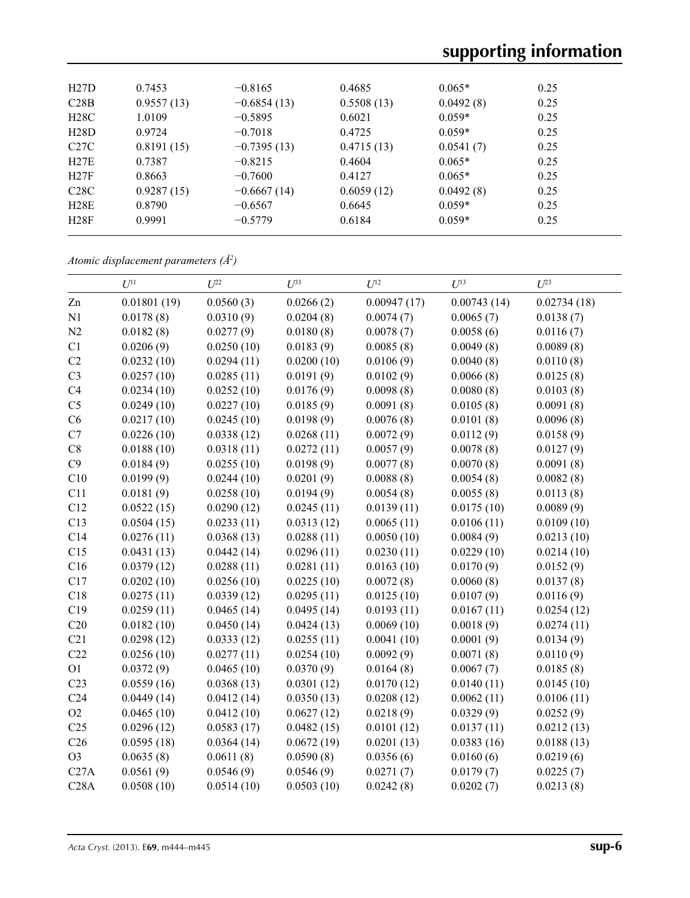| H27D        | 0.7453     | $-0.8165$     | 0.4685     | $0.065*$  | 0.25 |  |
|-------------|------------|---------------|------------|-----------|------|--|
| C28B        | 0.9557(13) | $-0.6854(13)$ | 0.5508(13) | 0.0492(8) | 0.25 |  |
| H28C        | 1.0109     | $-0.5895$     | 0.6021     | $0.059*$  | 0.25 |  |
| H28D        | 0.9724     | $-0.7018$     | 0.4725     | $0.059*$  | 0.25 |  |
| C27C        | 0.8191(15) | $-0.7395(13)$ | 0.4715(13) | 0.0541(7) | 0.25 |  |
| H27E        | 0.7387     | $-0.8215$     | 0.4604     | $0.065*$  | 0.25 |  |
| H27F        | 0.8663     | $-0.7600$     | 0.4127     | $0.065*$  | 0.25 |  |
| C28C        | 0.9287(15) | $-0.6667(14)$ | 0.6059(12) | 0.0492(8) | 0.25 |  |
| H28E        | 0.8790     | $-0.6567$     | 0.6645     | $0.059*$  | 0.25 |  |
| <b>H28F</b> | 0.9991     | $-0.5779$     | 0.6184     | $0.059*$  | 0.25 |  |

*Atomic displacement parameters (Å2 )*

|                 | $U^{11}$    | $U^{22}$   | $U^{33}$   | $U^{12}$    | $U^{13}$    | $U^{23}$    |
|-----------------|-------------|------------|------------|-------------|-------------|-------------|
| Zn              | 0.01801(19) | 0.0560(3)  | 0.0266(2)  | 0.00947(17) | 0.00743(14) | 0.02734(18) |
| N1              | 0.0178(8)   | 0.0310(9)  | 0.0204(8)  | 0.0074(7)   | 0.0065(7)   | 0.0138(7)   |
| N2              | 0.0182(8)   | 0.0277(9)  | 0.0180(8)  | 0.0078(7)   | 0.0058(6)   | 0.0116(7)   |
| C1              | 0.0206(9)   | 0.0250(10) | 0.0183(9)  | 0.0085(8)   | 0.0049(8)   | 0.0089(8)   |
| C <sub>2</sub>  | 0.0232(10)  | 0.0294(11) | 0.0200(10) | 0.0106(9)   | 0.0040(8)   | 0.0110(8)   |
| C <sub>3</sub>  | 0.0257(10)  | 0.0285(11) | 0.0191(9)  | 0.0102(9)   | 0.0066(8)   | 0.0125(8)   |
| C4              | 0.0234(10)  | 0.0252(10) | 0.0176(9)  | 0.0098(8)   | 0.0080(8)   | 0.0103(8)   |
| C <sub>5</sub>  | 0.0249(10)  | 0.0227(10) | 0.0185(9)  | 0.0091(8)   | 0.0105(8)   | 0.0091(8)   |
| C6              | 0.0217(10)  | 0.0245(10) | 0.0198(9)  | 0.0076(8)   | 0.0101(8)   | 0.0096(8)   |
| C7              | 0.0226(10)  | 0.0338(12) | 0.0268(11) | 0.0072(9)   | 0.0112(9)   | 0.0158(9)   |
| C8              | 0.0188(10)  | 0.0318(11) | 0.0272(11) | 0.0057(9)   | 0.0078(8)   | 0.0127(9)   |
| C9              | 0.0184(9)   | 0.0255(10) | 0.0198(9)  | 0.0077(8)   | 0.0070(8)   | 0.0091(8)   |
| C10             | 0.0199(9)   | 0.0244(10) | 0.0201(9)  | 0.0088(8)   | 0.0054(8)   | 0.0082(8)   |
| C11             | 0.0181(9)   | 0.0258(10) | 0.0194(9)  | 0.0054(8)   | 0.0055(8)   | 0.0113(8)   |
| C12             | 0.0522(15)  | 0.0290(12) | 0.0245(11) | 0.0139(11)  | 0.0175(10)  | 0.0089(9)   |
| C13             | 0.0504(15)  | 0.0233(11) | 0.0313(12) | 0.0065(11)  | 0.0106(11)  | 0.0109(10)  |
| C14             | 0.0276(11)  | 0.0368(13) | 0.0288(11) | 0.0050(10)  | 0.0084(9)   | 0.0213(10)  |
| C15             | 0.0431(13)  | 0.0442(14) | 0.0296(11) | 0.0230(11)  | 0.0229(10)  | 0.0214(10)  |
| C16             | 0.0379(12)  | 0.0288(11) | 0.0281(11) | 0.0163(10)  | 0.0170(9)   | 0.0152(9)   |
| C17             | 0.0202(10)  | 0.0256(10) | 0.0225(10) | 0.0072(8)   | 0.0060(8)   | 0.0137(8)   |
| C18             | 0.0275(11)  | 0.0339(12) | 0.0295(11) | 0.0125(10)  | 0.0107(9)   | 0.0116(9)   |
| C19             | 0.0259(11)  | 0.0465(14) | 0.0495(14) | 0.0193(11)  | 0.0167(11)  | 0.0254(12)  |
| C20             | 0.0182(10)  | 0.0450(14) | 0.0424(13) | 0.0069(10)  | 0.0018(9)   | 0.0274(11)  |
| C21             | 0.0298(12)  | 0.0333(12) | 0.0255(11) | 0.0041(10)  | 0.0001(9)   | 0.0134(9)   |
| C22             | 0.0256(10)  | 0.0277(11) | 0.0254(10) | 0.0092(9)   | 0.0071(8)   | 0.0110(9)   |
| O <sub>1</sub>  | 0.0372(9)   | 0.0465(10) | 0.0370(9)  | 0.0164(8)   | 0.0067(7)   | 0.0185(8)   |
| C23             | 0.0559(16)  | 0.0368(13) | 0.0301(12) | 0.0170(12)  | 0.0140(11)  | 0.0145(10)  |
| C <sub>24</sub> | 0.0449(14)  | 0.0412(14) | 0.0350(13) | 0.0208(12)  | 0.0062(11)  | 0.0106(11)  |
| O2              | 0.0465(10)  | 0.0412(10) | 0.0627(12) | 0.0218(9)   | 0.0329(9)   | 0.0252(9)   |
| C <sub>25</sub> | 0.0296(12)  | 0.0583(17) | 0.0482(15) | 0.0101(12)  | 0.0137(11)  | 0.0212(13)  |
| C <sub>26</sub> | 0.0595(18)  | 0.0364(14) | 0.0672(19) | 0.0201(13)  | 0.0383(16)  | 0.0188(13)  |
| O <sub>3</sub>  | 0.0635(8)   | 0.0611(8)  | 0.0590(8)  | 0.0356(6)   | 0.0160(6)   | 0.0219(6)   |
| C27A            | 0.0561(9)   | 0.0546(9)  | 0.0546(9)  | 0.0271(7)   | 0.0179(7)   | 0.0225(7)   |
| C28A            | 0.0508(10)  | 0.0514(10) | 0.0503(10) | 0.0242(8)   | 0.0202(7)   | 0.0213(8)   |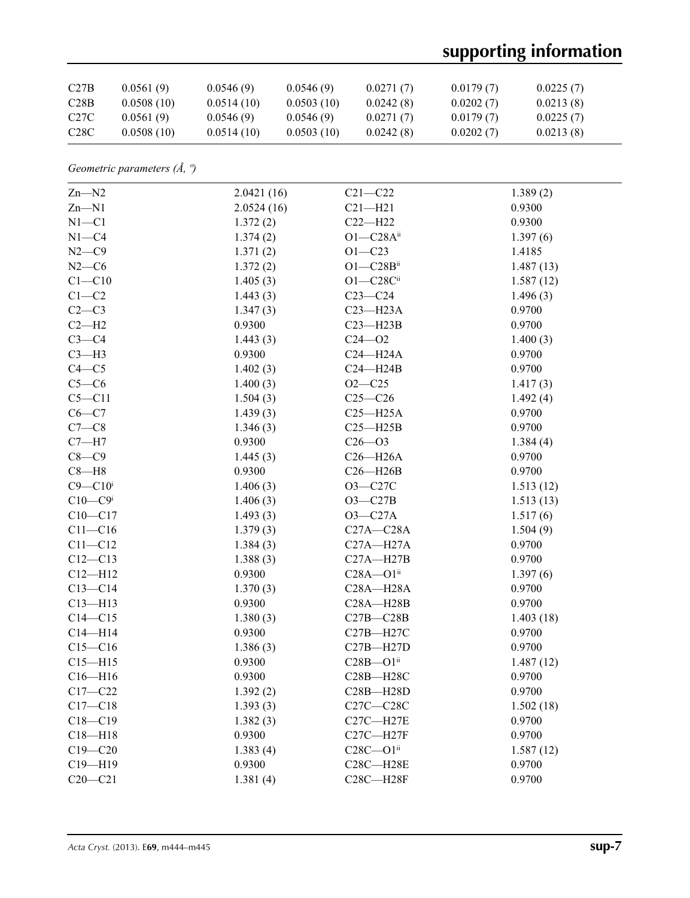# **supporting information**

| C27B              | 0.0561(9)  | 0.0546(9)  | 0.0546(9)  | 0.0271(7) | 0.0179(7) | 0.0225(7) |
|-------------------|------------|------------|------------|-----------|-----------|-----------|
| C28B              | 0.0508(10) | 0.0514(10) | 0.0503(10) | 0.0242(8) | 0.0202(7) | 0.0213(8) |
| C <sub>27</sub> C | 0.0561(9)  | 0.0546(9)  | 0.0546(9)  | 0.0271(7) | 0.0179(7) | 0.0225(7) |
| C <sub>28</sub> C | 0.0508(10) | 0.0514(10) | 0.0503(10) | 0.0242(8) | 0.0202(7) | 0.0213(8) |

*Geometric parameters (Å, º)*

| $Zn-M2$                 | 2.0421(16) | $C21 - C22$      | 1.389(2)  |
|-------------------------|------------|------------------|-----------|
| $Zn-M1$                 | 2.0524(16) | $C21 - H21$      | 0.9300    |
| $N1 - C1$               | 1.372(2)   | $C22 - H22$      | 0.9300    |
| $N1 - C4$               | 1.374(2)   | $O1 - C28A^{ii}$ | 1.397(6)  |
| $N2-C9$                 | 1.371(2)   | $O1 - C23$       | 1.4185    |
| $N2-C6$                 | 1.372(2)   | $O1 - C28B$ ii   | 1.487(13) |
| $C1 - C10$              | 1.405(3)   | $O1 - C28C$ ii   | 1.587(12) |
| $C1-C2$                 | 1.443(3)   | $C23-C24$        | 1.496(3)  |
| $C2-C3$                 | 1.347(3)   | $C23 - H23A$     | 0.9700    |
| $C2-H2$                 | 0.9300     | $C23 - H23B$     | 0.9700    |
| $C3-C4$                 | 1.443(3)   | $C24 - 02$       | 1.400(3)  |
| $C3-H3$                 | 0.9300     | $C24 - H24A$     | 0.9700    |
| $C4 - C5$               | 1.402(3)   | $C24 - H24B$     | 0.9700    |
| $C5-C6$                 | 1.400(3)   | $O2 - C25$       | 1.417(3)  |
| $C5 - C11$              | 1.504(3)   | $C25-C26$        | 1.492(4)  |
| $C6 - C7$               | 1.439(3)   | $C25 - H25A$     | 0.9700    |
| $C7-C8$                 | 1.346(3)   | $C25 - H25B$     | 0.9700    |
| $C7 - H7$               | 0.9300     | $C26 - 03$       | 1.384(4)  |
| $C8-C9$                 | 1.445(3)   | $C26 - H26A$     | 0.9700    |
| $C8 - H8$               | 0.9300     | $C26 - H26B$     | 0.9700    |
| $C9 - C10$ <sup>i</sup> | 1.406(3)   | O3-C27C          | 1.513(12) |
| $C10-C9i$               | 1.406(3)   | $O3-C27B$        | 1.513(13) |
| $C10 - C17$             | 1.493(3)   | $O3-C27A$        | 1.517(6)  |
| $C11 - C16$             | 1.379(3)   | $C27A - C28A$    | 1.504(9)  |
| $C11 - C12$             | 1.384(3)   | $C27A - H27A$    | 0.9700    |
| $C12 - C13$             | 1.388(3)   | $C27A - H27B$    | 0.9700    |
| $C12 - H12$             | 0.9300     | $C28A - O1ii$    | 1.397(6)  |
| $C13 - C14$             | 1.370(3)   | $C28A - H28A$    | 0.9700    |
| $C13 - H13$             | 0.9300     | $C28A - H28B$    | 0.9700    |
| $C14 - C15$             | 1.380(3)   | $C27B - C28B$    | 1.403(18) |
| $C14 - H14$             | 0.9300     | C27B-H27C        | 0.9700    |
| $C15 - C16$             | 1.386(3)   | $C27B - H27D$    | 0.9700    |
| $C15 - H15$             | 0.9300     | $C28B - O1ii$    | 1.487(12) |
| $C16 - H16$             | 0.9300     | C28B-H28C        | 0.9700    |
| $C17 - C22$             | 1.392(2)   | $C28B - H28D$    | 0.9700    |
| $C17 - C18$             | 1.393(3)   | $C27C - C28C$    | 1.502(18) |
| $C18 - C19$             | 1.382(3)   | $C27C - H27E$    | 0.9700    |
| $C18 - H18$             | 0.9300     | $C27C - H27F$    | 0.9700    |
| $C19 - C20$             | 1.383(4)   | $C28C - O1ii$    | 1.587(12) |
| C19-H19                 | 0.9300     | C28C-H28E        | 0.9700    |
| $C20 - C21$             | 1.381(4)   | C28C-H28F        | 0.9700    |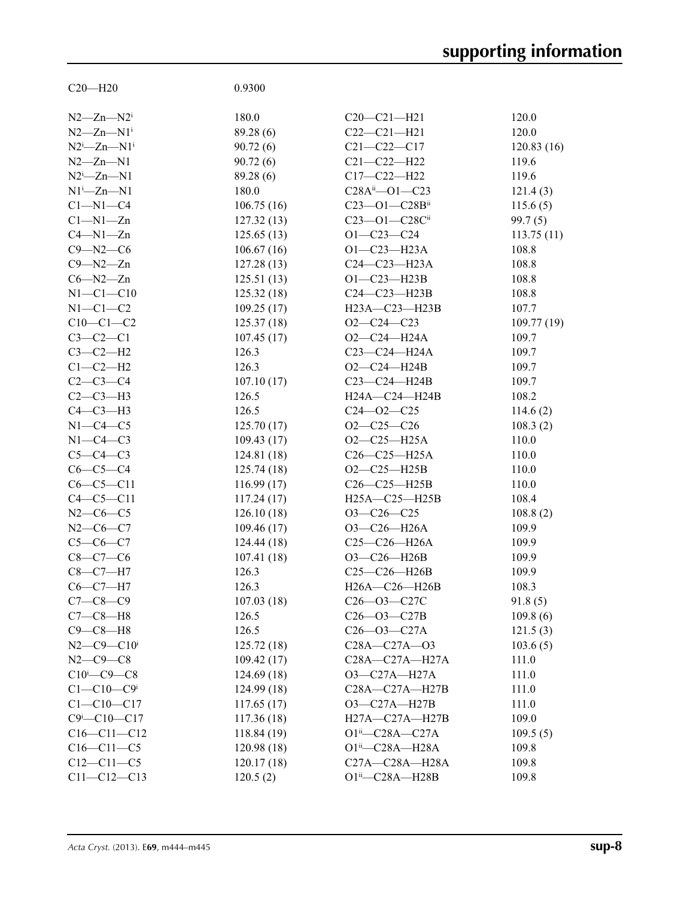| $C20 - H20$                       | 0.9300              |                                                   |            |
|-----------------------------------|---------------------|---------------------------------------------------|------------|
|                                   |                     |                                                   |            |
| $N2 - Zn - N2$                    | 180.0               | $C20-C21-H21$                                     | 120.0      |
| $N2 - Zn - N1$ <sup>i</sup>       | 89.28 (6)           | $C22-C21-H21$                                     | 120.0      |
| $N2^i$ -Zn- $N1^i$                | 90.72(6)            | $C21 - C22 - C17$                                 | 120.83(16) |
| $N2 - Zn - N1$                    | 90.72(6)            | $C21 - C22 - H22$                                 | 119.6      |
| $N2^i$ -Zn- $N1$                  | 89.28 (6)           | $C17 - C22 - H22$                                 | 119.6      |
| $N1^i$ -Zn- $N1$                  | 180.0               | $C28A^{ii}$ - O1 - C23                            | 121.4(3)   |
| $C1 - N1 - C4$                    | 106.75(16)          | $C23 - 01 - C28B$ ii                              | 115.6(5)   |
| $Cl-M1-Zn$                        | 127.32(13)          | C23-O1-C28Cii                                     | 99.7(5)    |
| $C4 - N1 - Zn$                    | 125.65(13)          | $O1 - C23 - C24$                                  | 113.75(11) |
| $C9 - N2 - C6$                    | 106.67(16)          | $O1 - C23 - H23A$                                 | 108.8      |
| $C9 - N2 - Zn$                    | 127.28(13)          | $C24-C23-H23A$                                    | 108.8      |
| $C6 - N2 - Zn$                    | 125.51(13)          | $O1 - C23 - H23B$                                 | 108.8      |
| $N1-C1-C10$                       | 125.32(18)          | C24-C23-H23B                                      | 108.8      |
| $N1-C1-C2$                        | 109.25(17)          | H23A-C23-H23B                                     | 107.7      |
| $C10-C1-C2$                       | 125.37(18)          | $O2-C24-C23$                                      | 109.77(19) |
| $C3-C2-C1$                        |                     | $O2-C24-H24A$                                     |            |
|                                   | 107.45(17)<br>126.3 |                                                   | 109.7      |
| $C3-C2-H2$                        |                     | $C23 - C24 - H24A$                                | 109.7      |
| $C1-C2-H2$                        | 126.3               | $O2-C24-H24B$                                     | 109.7      |
| $C2-C3-C4$                        | 107.10(17)          | $C23-C24-H24B$                                    | 109.7      |
| $C2-C3-H3$                        | 126.5               | H24A-C24-H24B                                     | 108.2      |
| $C4-C3-H3$                        | 126.5               | $C24 - 02 - C25$                                  | 114.6(2)   |
| $N1-C4-C5$                        | 125.70(17)          | $O2-C25-C26$                                      | 108.3(2)   |
| $N1-C4-C3$                        | 109.43(17)          | $O2-C25-H25A$                                     | 110.0      |
| $C5-C4-C3$                        | 124.81(18)          | $C26-C25-H25A$                                    | 110.0      |
| $C6-C5-C4$                        | 125.74(18)          | $O2-C25-H25B$                                     | 110.0      |
| $C6-C5-C11$                       | 116.99(17)          | $C26-C25-H25B$                                    | 110.0      |
| $C4 - C5 - C11$                   | 117.24(17)          | H25A-C25-H25B                                     | 108.4      |
| $N2-C6-C5$                        | 126.10(18)          | $O3-C26-C25$                                      | 108.8(2)   |
| $N2-C6-C7$                        | 109.46(17)          | O3-C26-H26A                                       | 109.9      |
| $C5 - C6 - C7$                    | 124.44(18)          | $C25-C26-H26A$                                    | 109.9      |
| $C8 - C7 - C6$                    | 107.41(18)          | $O3-C26-H26B$                                     | 109.9      |
| $C8-C7-H7$                        | 126.3               | $C25-C26-H26B$                                    | 109.9      |
| $C6-C7-H7$                        | 126.3               | H26A-C26-H26B                                     | 108.3      |
| $C7 - C8 - C9$                    | 107.03(18)          | $C26 - 03 - C27C$                                 | 91.8(5)    |
| $C7-C8-H8$                        | 126.5               | $C26 - O3 - C27B$                                 | 109.8(6)   |
| $C9-C8-H8$                        | 126.5               | $C26 - 03 - C27A$                                 | 121.5(3)   |
| $N2 - C9 - C10$ <sup>i</sup>      | 125.72(18)          | C28A-C27A-03                                      | 103.6(5)   |
| $N2-C9-C8$                        | 109.42(17)          | C28A-C27A-H27A                                    | 111.0      |
| $C10^{i} - C9 - C8$               | 124.69(18)          | O3-C27A-H27A                                      | 111.0      |
| $C1 - C10 - C9$ i                 | 124.99(18)          | $C28A - C27A - H27B$                              | 111.0      |
| $C1 - C10 - C17$                  | 117.65(17)          | O3-C27A-H27B                                      | 111.0      |
| $C9$ <sup>i</sup> - $C10$ - $C17$ | 117.36 (18)         | H27A-C27A-H27B                                    | 109.0      |
| $C16 - C11 - C12$                 | 118.84 (19)         | $O1^{ii}$ - C28A - C27A                           | 109.5(5)   |
| $C16 - C11 - C5$                  | 120.98(18)          | $O1ii$ — $C28A$ —H28A                             | 109.8      |
| $C12 - C11 - C5$                  | 120.17(18)          | $C27A - C28A - H28A$                              | 109.8      |
| $C11 - C12 - C13$                 | 120.5(2)            | $O1^{ii}$ - C <sub>28</sub> A - H <sub>28</sub> B | 109.8      |
|                                   |                     |                                                   |            |